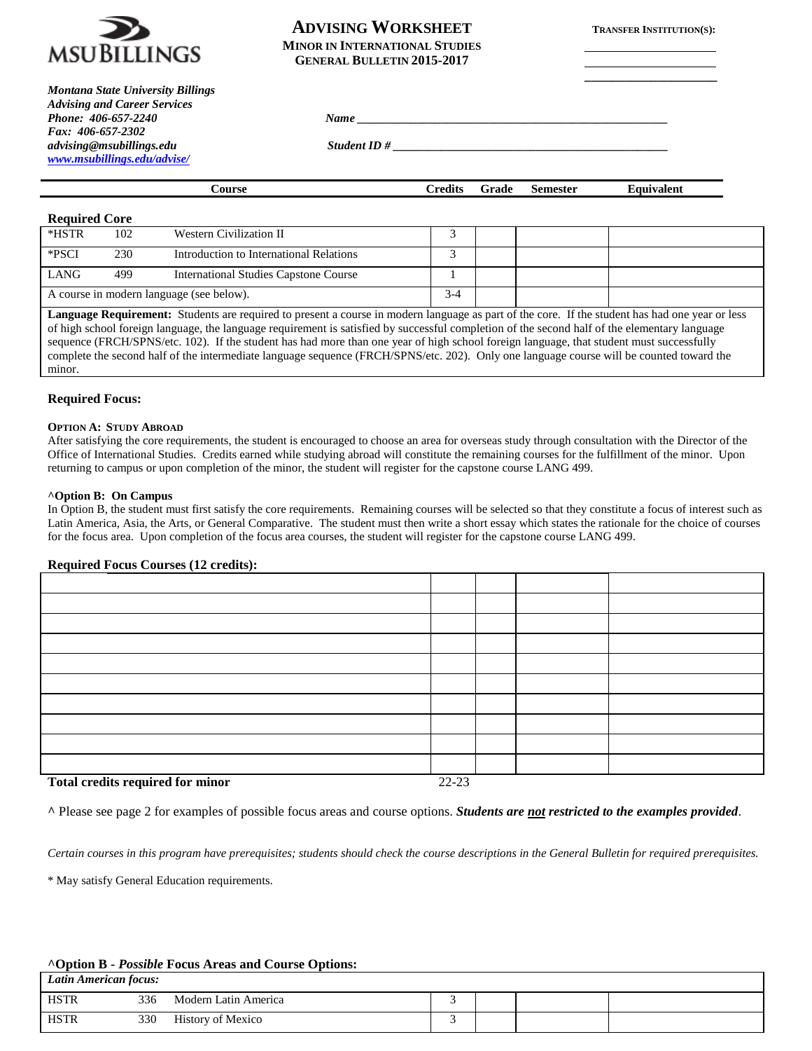

*Montana State University Billings Advising and Career Services Phone: 406-657-2240 Fax: 406-657-2302*

*[www.msubillings.edu/advise/](http://www.msubillings.edu/advise/)*

# **ADVISING WORKSHEET TRANSFER INSTITUTION(S): MINOR IN INTERNATIONAL STUDIES GENERAL BULLETIN 2015-2017**

**\_\_\_\_\_\_\_\_\_\_\_\_\_\_\_\_\_\_\_\_**

*advising@msubillings.edu Student ID # \_\_\_\_\_\_\_\_\_\_\_\_\_\_\_\_\_\_\_\_\_\_\_\_\_\_\_\_\_\_\_\_\_\_\_\_\_\_\_\_\_\_\_\_\_\_*

| Course | Credits | Grade | <b>Semester</b> | Equivalent |
|--------|---------|-------|-----------------|------------|
|        |         |       |                 |            |

# **Required Core**

| *HSTR                                                                                                                                           | 102 | Western Civilization II                      |       |  |  |
|-------------------------------------------------------------------------------------------------------------------------------------------------|-----|----------------------------------------------|-------|--|--|
| *PSCI                                                                                                                                           | 230 | Introduction to International Relations      |       |  |  |
| LANG                                                                                                                                            | 499 | <b>International Studies Capstone Course</b> |       |  |  |
|                                                                                                                                                 |     | A course in modern language (see below).     | $3-4$ |  |  |
| Language Requirement: Students are required to present a course in modern language as part of the core. If the student has had one year or less |     |                                              |       |  |  |

of high school foreign language, the language requirement is satisfied by successful completion of the second half of the elementary language sequence (FRCH/SPNS/etc. 102). If the student has had more than one year of high school foreign language, that student must successfully complete the second half of the intermediate language sequence (FRCH/SPNS/etc. 202). Only one language course will be counted toward the minor.

# **Required Focus:**

#### **OPTION A: STUDY ABROAD**

After satisfying the core requirements, the student is encouraged to choose an area for overseas study through consultation with the Director of the Office of International Studies. Credits earned while studying abroad will constitute the remaining courses for the fulfillment of the minor. Upon returning to campus or upon completion of the minor, the student will register for the capstone course LANG 499.

### **^Option B: On Campus**

In Option B, the student must first satisfy the core requirements. Remaining courses will be selected so that they constitute a focus of interest such as Latin America, Asia, the Arts, or General Comparative. The student must then write a short essay which states the rationale for the choice of courses for the focus area. Upon completion of the focus area courses, the student will register for the capstone course LANG 499.

# **Required Focus Courses (12 credits):**

| Total quadita noguinad for minor | 22.22 |  |  |
|----------------------------------|-------|--|--|

**Total credits required for minor** 22-23

**^** Please see page 2 for examples of possible focus areas and course options. *Students are not restricted to the examples provided*.

*Certain courses in this program have prerequisites; students should check the course descriptions in the General Bulletin for required prerequisites.*

\* May satisfy General Education requirements.

# **^Option B -** *Possible* **Focus Areas and Course Options:**

| Latin American focus: |     |                          |  |  |  |  |  |
|-----------------------|-----|--------------------------|--|--|--|--|--|
| <b>HSTR</b>           | 336 | Modern Latin America     |  |  |  |  |  |
| <b>HSTR</b>           | 330 | <b>History of Mexico</b> |  |  |  |  |  |